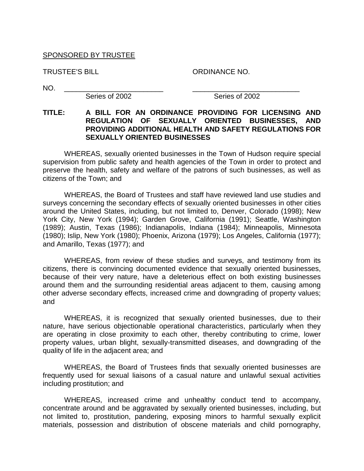### SPONSORED BY TRUSTEE

TRUSTEE'S BILL ORDINANCE NO.

NO. \_\_\_\_\_\_\_\_\_\_\_\_\_\_\_\_\_\_\_\_\_\_\_\_\_ \_\_\_\_\_\_\_\_\_\_\_\_\_\_\_\_\_\_\_\_\_\_\_\_\_\_\_

Series of 2002 Series of 2002

### **TITLE: A BILL FOR AN ORDINANCE PROVIDING FOR LICENSING AND REGULATION OF SEXUALLY ORIENTED BUSINESSES, AND PROVIDING ADDITIONAL HEALTH AND SAFETY REGULATIONS FOR SEXUALLY ORIENTED BUSINESSES**

WHEREAS, sexually oriented businesses in the Town of Hudson require special supervision from public safety and health agencies of the Town in order to protect and preserve the health, safety and welfare of the patrons of such businesses, as well as citizens of the Town; and

WHEREAS, the Board of Trustees and staff have reviewed land use studies and surveys concerning the secondary effects of sexually oriented businesses in other cities around the United States, including, but not limited to, Denver, Colorado (1998); New York City, New York (1994); Garden Grove, California (1991); Seattle, Washington (1989); Austin, Texas (1986); Indianapolis, Indiana (1984); Minneapolis, Minnesota (1980); Islip, New York (1980); Phoenix, Arizona (1979); Los Angeles, California (1977); and Amarillo, Texas (1977); and

WHEREAS, from review of these studies and surveys, and testimony from its citizens, there is convincing documented evidence that sexually oriented businesses, because of their very nature, have a deleterious effect on both existing businesses around them and the surrounding residential areas adjacent to them, causing among other adverse secondary effects, increased crime and downgrading of property values; and

WHEREAS, it is recognized that sexually oriented businesses, due to their nature, have serious objectionable operational characteristics, particularly when they are operating in close proximity to each other, thereby contributing to crime, lower property values, urban blight, sexually-transmitted diseases, and downgrading of the quality of life in the adjacent area; and

WHEREAS, the Board of Trustees finds that sexually oriented businesses are frequently used for sexual liaisons of a casual nature and unlawful sexual activities including prostitution; and

WHEREAS, increased crime and unhealthy conduct tend to accompany, concentrate around and be aggravated by sexually oriented businesses, including, but not limited to, prostitution, pandering, exposing minors to harmful sexually explicit materials, possession and distribution of obscene materials and child pornography,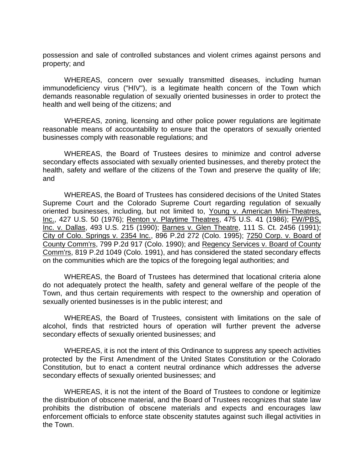possession and sale of controlled substances and violent crimes against persons and property; and

WHEREAS, concern over sexually transmitted diseases, including human immunodeficiency virus ("HIV"), is a legitimate health concern of the Town which demands reasonable regulation of sexually oriented businesses in order to protect the health and well being of the citizens; and

WHEREAS, zoning, licensing and other police power regulations are legitimate reasonable means of accountability to ensure that the operators of sexually oriented businesses comply with reasonable regulations; and

WHEREAS, the Board of Trustees desires to minimize and control adverse secondary effects associated with sexually oriented businesses, and thereby protect the health, safety and welfare of the citizens of the Town and preserve the quality of life; and

WHEREAS, the Board of Trustees has considered decisions of the United States Supreme Court and the Colorado Supreme Court regarding regulation of sexually oriented businesses, including, but not limited to, Young v. American Mini-Theatres, Inc., 427 U.S. 50 (1976); Renton v. Playtime Theatres, 475 U.S. 41 (1986); FW/PBS, Inc. v. Dallas, 493 U.S. 215 (1990); Barnes v. Glen Theatre, 111 S. Ct. 2456 (1991); City of Colo. Springs v. 2354 Inc., 896 P.2d 272 (Colo. 1995); 7250 Corp. v. Board of County Comm'rs, 799 P.2d 917 (Colo. 1990); and Regency Services v. Board of County Comm'rs, 819 P.2d 1049 (Colo. 1991), and has considered the stated secondary effects on the communities which are the topics of the foregoing legal authorities; and

WHEREAS, the Board of Trustees has determined that locational criteria alone do not adequately protect the health, safety and general welfare of the people of the Town, and thus certain requirements with respect to the ownership and operation of sexually oriented businesses is in the public interest; and

WHEREAS, the Board of Trustees, consistent with limitations on the sale of alcohol, finds that restricted hours of operation will further prevent the adverse secondary effects of sexually oriented businesses; and

WHEREAS, it is not the intent of this Ordinance to suppress any speech activities protected by the First Amendment of the United States Constitution or the Colorado Constitution, but to enact a content neutral ordinance which addresses the adverse secondary effects of sexually oriented businesses; and

WHEREAS, it is not the intent of the Board of Trustees to condone or legitimize the distribution of obscene material, and the Board of Trustees recognizes that state law prohibits the distribution of obscene materials and expects and encourages law enforcement officials to enforce state obscenity statutes against such illegal activities in the Town.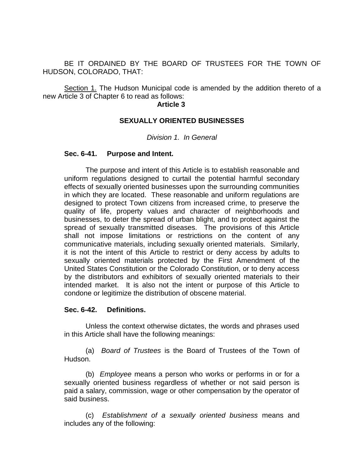BE IT ORDAINED BY THE BOARD OF TRUSTEES FOR THE TOWN OF HUDSON, COLORADO, THAT:

Section 1. The Hudson Municipal code is amended by the addition thereto of a new Article 3 of Chapter 6 to read as follows:

#### **Article 3**

#### **SEXUALLY ORIENTED BUSINESSES**

*Division 1. In General*

#### **Sec. 6-41. Purpose and Intent.**

The purpose and intent of this Article is to establish reasonable and uniform regulations designed to curtail the potential harmful secondary effects of sexually oriented businesses upon the surrounding communities in which they are located. These reasonable and uniform regulations are designed to protect Town citizens from increased crime, to preserve the quality of life, property values and character of neighborhoods and businesses, to deter the spread of urban blight, and to protect against the spread of sexually transmitted diseases. The provisions of this Article shall not impose limitations or restrictions on the content of any communicative materials, including sexually oriented materials. Similarly, it is not the intent of this Article to restrict or deny access by adults to sexually oriented materials protected by the First Amendment of the United States Constitution or the Colorado Constitution, or to deny access by the distributors and exhibitors of sexually oriented materials to their intended market. It is also not the intent or purpose of this Article to condone or legitimize the distribution of obscene material.

#### **Sec. 6-42. Definitions.**

Unless the context otherwise dictates, the words and phrases used in this Article shall have the following meanings:

(a) *Board of Trustees* is the Board of Trustees of the Town of Hudson.

(b) *Employee* means a person who works or performs in or for a sexually oriented business regardless of whether or not said person is paid a salary, commission, wage or other compensation by the operator of said business.

(c) *Establishment of a sexually oriented business* means and includes any of the following: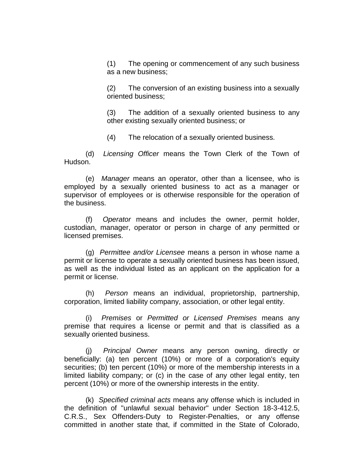(1) The opening or commencement of any such business as a new business;

(2) The conversion of an existing business into a sexually oriented business;

(3) The addition of a sexually oriented business to any other existing sexually oriented business; or

(4) The relocation of a sexually oriented business.

(d) *Licensing Officer* means the Town Clerk of the Town of Hudson.

(e) *Manager* means an operator, other than a licensee, who is employed by a sexually oriented business to act as a manager or supervisor of employees or is otherwise responsible for the operation of the business.

(f) *Operator* means and includes the owner, permit holder, custodian, manager, operator or person in charge of any permitted or licensed premises.

(g) *Permittee and/or Licensee* means a person in whose name a permit or license to operate a sexually oriented business has been issued, as well as the individual listed as an applicant on the application for a permit or license.

(h) *Person* means an individual, proprietorship, partnership, corporation, limited liability company, association, or other legal entity.

(i) *Premises* or *Permitted or Licensed Premises* means any premise that requires a license or permit and that is classified as a sexually oriented business.

(j) *Principal Owner* means any person owning, directly or beneficially: (a) ten percent (10%) or more of a corporation's equity securities; (b) ten percent (10%) or more of the membership interests in a limited liability company; or (c) in the case of any other legal entity, ten percent (10%) or more of the ownership interests in the entity.

(k) *Specified criminal acts* means any offense which is included in the definition of "unlawful sexual behavior" under Section 18-3-412.5, C.R.S., Sex Offenders-Duty to Register-Penalties, or any offense committed in another state that, if committed in the State of Colorado,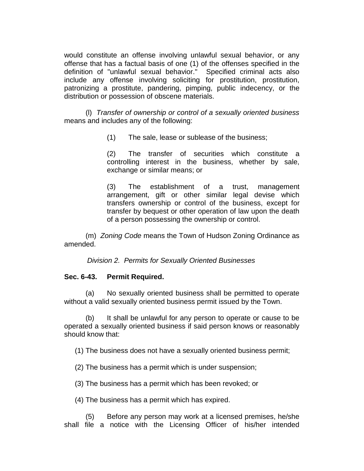would constitute an offense involving unlawful sexual behavior, or any offense that has a factual basis of one (1) of the offenses specified in the definition of "unlawful sexual behavior." Specified criminal acts also include any offense involving soliciting for prostitution, prostitution, patronizing a prostitute, pandering, pimping, public indecency, or the distribution or possession of obscene materials.

(l) *Transfer of ownership or control of a sexually oriented business* means and includes any of the following:

(1) The sale, lease or sublease of the business;

(2) The transfer of securities which constitute a controlling interest in the business, whether by sale, exchange or similar means; or

(3) The establishment of a trust, management arrangement, gift or other similar legal devise which transfers ownership or control of the business, except for transfer by bequest or other operation of law upon the death of a person possessing the ownership or control.

(m) *Zoning Code* means the Town of Hudson Zoning Ordinance as amended.

*Division 2. Permits for Sexually Oriented Businesses*

#### **Sec. 6-43. Permit Required.**

(a) No sexually oriented business shall be permitted to operate without a valid sexually oriented business permit issued by the Town.

(b) It shall be unlawful for any person to operate or cause to be operated a sexually oriented business if said person knows or reasonably should know that:

(1) The business does not have a sexually oriented business permit;

(2) The business has a permit which is under suspension;

(3) The business has a permit which has been revoked; or

(4) The business has a permit which has expired.

(5) Before any person may work at a licensed premises, he/she shall file a notice with the Licensing Officer of his/her intended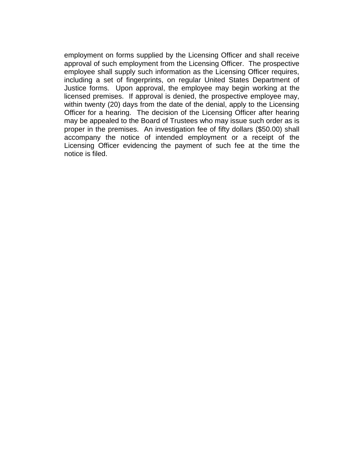employment on forms supplied by the Licensing Officer and shall receive approval of such employment from the Licensing Officer. The prospective employee shall supply such information as the Licensing Officer requires, including a set of fingerprints, on regular United States Department of Justice forms. Upon approval, the employee may begin working at the licensed premises. If approval is denied, the prospective employee may, within twenty (20) days from the date of the denial, apply to the Licensing Officer for a hearing. The decision of the Licensing Officer after hearing may be appealed to the Board of Trustees who may issue such order as is proper in the premises. An investigation fee of fifty dollars (\$50.00) shall accompany the notice of intended employment or a receipt of the Licensing Officer evidencing the payment of such fee at the time the notice is filed.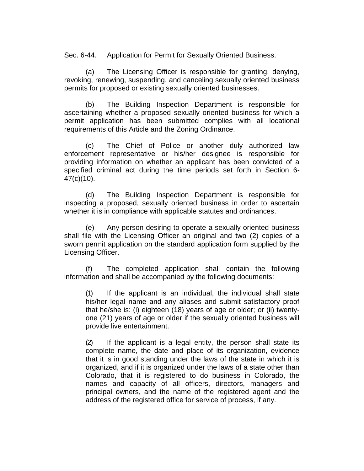Sec. 6-44. Application for Permit for Sexually Oriented Business.

(a) The Licensing Officer is responsible for granting, denying, revoking, renewing, suspending, and canceling sexually oriented business permits for proposed or existing sexually oriented businesses.

(b) The Building Inspection Department is responsible for ascertaining whether a proposed sexually oriented business for which a permit application has been submitted complies with all locational requirements of this Article and the Zoning Ordinance.

(c) The Chief of Police or another duly authorized law enforcement representative or his/her designee is responsible for providing information on whether an applicant has been convicted of a specified criminal act during the time periods set forth in Section 6- 47(c)(10).

(d) The Building Inspection Department is responsible for inspecting a proposed, sexually oriented business in order to ascertain whether it is in compliance with applicable statutes and ordinances.

(e) Any person desiring to operate a sexually oriented business shall file with the Licensing Officer an original and two (2) copies of a sworn permit application on the standard application form supplied by the Licensing Officer.

(f) The completed application shall contain the following information and shall be accompanied by the following documents:

(1) If the applicant is an individual, the individual shall state his/her legal name and any aliases and submit satisfactory proof that he/she is: (i) eighteen (18) years of age or older; or (ii) twentyone (21) years of age or older if the sexually oriented business will provide live entertainment.

(2) If the applicant is a legal entity, the person shall state its complete name, the date and place of its organization, evidence that it is in good standing under the laws of the state in which it is organized, and if it is organized under the laws of a state other than Colorado, that it is registered to do business in Colorado, the names and capacity of all officers, directors, managers and principal owners, and the name of the registered agent and the address of the registered office for service of process, if any.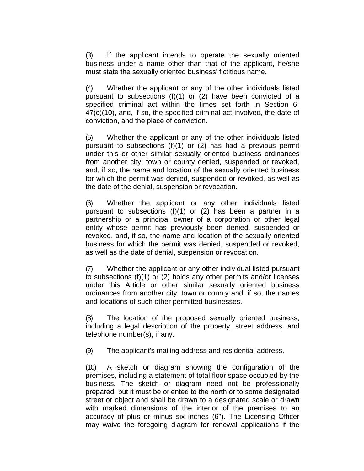(3) If the applicant intends to operate the sexually oriented business under a name other than that of the applicant, he/she must state the sexually oriented business' fictitious name.

(4) Whether the applicant or any of the other individuals listed pursuant to subsections (f)(1) or (2) have been convicted of a specified criminal act within the times set forth in Section 6- 47(c)(10), and, if so, the specified criminal act involved, the date of conviction, and the place of conviction.

(5) Whether the applicant or any of the other individuals listed pursuant to subsections (f)(1) or (2) has had a previous permit under this or other similar sexually oriented business ordinances from another city, town or county denied, suspended or revoked, and, if so, the name and location of the sexually oriented business for which the permit was denied, suspended or revoked, as well as the date of the denial, suspension or revocation.

(6) Whether the applicant or any other individuals listed pursuant to subsections (f)(1) or (2) has been a partner in a partnership or a principal owner of a corporation or other legal entity whose permit has previously been denied, suspended or revoked, and, if so, the name and location of the sexually oriented business for which the permit was denied, suspended or revoked, as well as the date of denial, suspension or revocation.

(7) Whether the applicant or any other individual listed pursuant to subsections (f)(1) or (2) holds any other permits and/or licenses under this Article or other similar sexually oriented business ordinances from another city, town or county and, if so, the names and locations of such other permitted businesses.

(8) The location of the proposed sexually oriented business, including a legal description of the property, street address, and telephone number(s), if any.

(9) The applicant's mailing address and residential address.

(10) A sketch or diagram showing the configuration of the premises, including a statement of total floor space occupied by the business. The sketch or diagram need not be professionally prepared, but it must be oriented to the north or to some designated street or object and shall be drawn to a designated scale or drawn with marked dimensions of the interior of the premises to an accuracy of plus or minus six inches (6"). The Licensing Officer may waive the foregoing diagram for renewal applications if the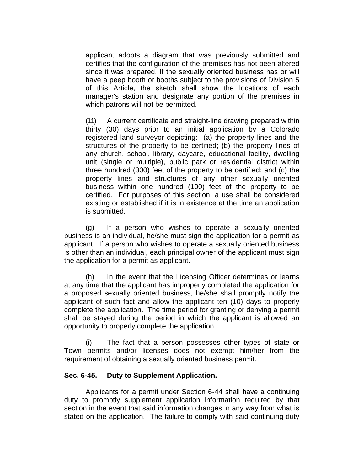applicant adopts a diagram that was previously submitted and certifies that the configuration of the premises has not been altered since it was prepared. If the sexually oriented business has or will have a peep booth or booths subject to the provisions of Division 5 of this Article, the sketch shall show the locations of each manager's station and designate any portion of the premises in which patrons will not be permitted.

(11) A current certificate and straight-line drawing prepared within thirty (30) days prior to an initial application by a Colorado registered land surveyor depicting: (a) the property lines and the structures of the property to be certified; (b) the property lines of any church, school, library, daycare, educational facility, dwelling unit (single or multiple), public park or residential district within three hundred (300) feet of the property to be certified; and (c) the property lines and structures of any other sexually oriented business within one hundred (100) feet of the property to be certified. For purposes of this section, a use shall be considered existing or established if it is in existence at the time an application is submitted.

(g) If a person who wishes to operate a sexually oriented business is an individual, he/she must sign the application for a permit as applicant. If a person who wishes to operate a sexually oriented business is other than an individual, each principal owner of the applicant must sign the application for a permit as applicant.

(h) In the event that the Licensing Officer determines or learns at any time that the applicant has improperly completed the application for a proposed sexually oriented business, he/she shall promptly notify the applicant of such fact and allow the applicant ten (10) days to properly complete the application. The time period for granting or denying a permit shall be stayed during the period in which the applicant is allowed an opportunity to properly complete the application.

(i) The fact that a person possesses other types of state or Town permits and/or licenses does not exempt him/her from the requirement of obtaining a sexually oriented business permit.

## **Sec. 6-45. Duty to Supplement Application.**

Applicants for a permit under Section 6-44 shall have a continuing duty to promptly supplement application information required by that section in the event that said information changes in any way from what is stated on the application. The failure to comply with said continuing duty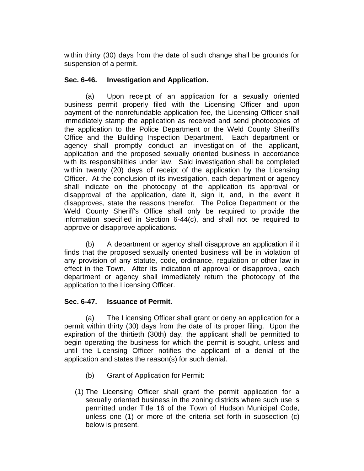within thirty (30) days from the date of such change shall be grounds for suspension of a permit.

## **Sec. 6-46. Investigation and Application.**

(a) Upon receipt of an application for a sexually oriented business permit properly filed with the Licensing Officer and upon payment of the nonrefundable application fee, the Licensing Officer shall immediately stamp the application as received and send photocopies of the application to the Police Department or the Weld County Sheriff's Office and the Building Inspection Department. Each department or agency shall promptly conduct an investigation of the applicant, application and the proposed sexually oriented business in accordance with its responsibilities under law. Said investigation shall be completed within twenty (20) days of receipt of the application by the Licensing Officer. At the conclusion of its investigation, each department or agency shall indicate on the photocopy of the application its approval or disapproval of the application, date it, sign it, and, in the event it disapproves, state the reasons therefor. The Police Department or the Weld County Sheriff's Office shall only be required to provide the information specified in Section 6-44(c), and shall not be required to approve or disapprove applications.

(b) A department or agency shall disapprove an application if it finds that the proposed sexually oriented business will be in violation of any provision of any statute, code, ordinance, regulation or other law in effect in the Town. After its indication of approval or disapproval, each department or agency shall immediately return the photocopy of the application to the Licensing Officer.

## **Sec. 6-47. Issuance of Permit.**

(a) The Licensing Officer shall grant or deny an application for a permit within thirty (30) days from the date of its proper filing. Upon the expiration of the thirtieth (30th) day, the applicant shall be permitted to begin operating the business for which the permit is sought, unless and until the Licensing Officer notifies the applicant of a denial of the application and states the reason(s) for such denial.

- (b) Grant of Application for Permit:
- (1) The Licensing Officer shall grant the permit application for a sexually oriented business in the zoning districts where such use is permitted under Title 16 of the Town of Hudson Municipal Code, unless one (1) or more of the criteria set forth in subsection (c) below is present.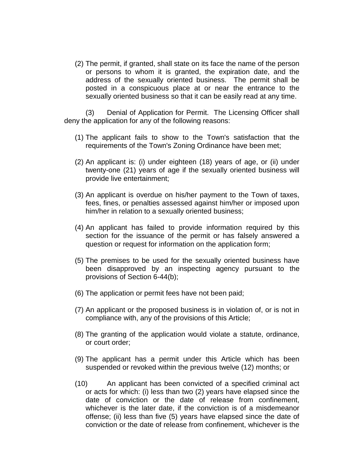(2) The permit, if granted, shall state on its face the name of the person or persons to whom it is granted, the expiration date, and the address of the sexually oriented business. The permit shall be posted in a conspicuous place at or near the entrance to the sexually oriented business so that it can be easily read at any time.

(3) Denial of Application for Permit. The Licensing Officer shall deny the application for any of the following reasons:

- (1) The applicant fails to show to the Town's satisfaction that the requirements of the Town's Zoning Ordinance have been met;
- (2) An applicant is: (i) under eighteen (18) years of age, or (ii) under twenty-one (21) years of age if the sexually oriented business will provide live entertainment;
- (3) An applicant is overdue on his/her payment to the Town of taxes, fees, fines, or penalties assessed against him/her or imposed upon him/her in relation to a sexually oriented business;
- (4) An applicant has failed to provide information required by this section for the issuance of the permit or has falsely answered a question or request for information on the application form;
- (5) The premises to be used for the sexually oriented business have been disapproved by an inspecting agency pursuant to the provisions of Section 6-44(b);
- (6) The application or permit fees have not been paid;
- (7) An applicant or the proposed business is in violation of, or is not in compliance with, any of the provisions of this Article;
- (8) The granting of the application would violate a statute, ordinance, or court order;
- (9) The applicant has a permit under this Article which has been suspended or revoked within the previous twelve (12) months; or
- (10) An applicant has been convicted of a specified criminal act or acts for which: (i) less than two (2) years have elapsed since the date of conviction or the date of release from confinement, whichever is the later date, if the conviction is of a misdemeanor offense; (ii) less than five (5) years have elapsed since the date of conviction or the date of release from confinement, whichever is the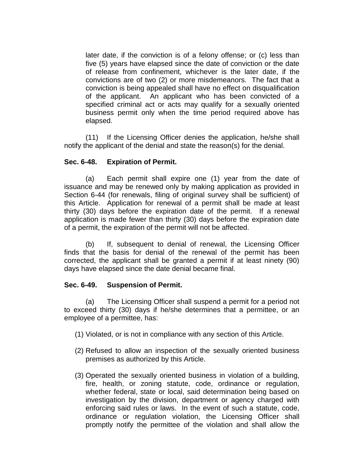later date, if the conviction is of a felony offense; or (c) less than five (5) years have elapsed since the date of conviction or the date of release from confinement, whichever is the later date, if the convictions are of two (2) or more misdemeanors. The fact that a conviction is being appealed shall have no effect on disqualification of the applicant. An applicant who has been convicted of a specified criminal act or acts may qualify for a sexually oriented business permit only when the time period required above has elapsed.

(11) If the Licensing Officer denies the application, he/she shall notify the applicant of the denial and state the reason(s) for the denial.

## **Sec. 6-48. Expiration of Permit.**

(a) Each permit shall expire one (1) year from the date of issuance and may be renewed only by making application as provided in Section 6-44 (for renewals, filing of original survey shall be sufficient) of this Article. Application for renewal of a permit shall be made at least thirty (30) days before the expiration date of the permit. If a renewal application is made fewer than thirty (30) days before the expiration date of a permit, the expiration of the permit will not be affected.

(b) If, subsequent to denial of renewal, the Licensing Officer finds that the basis for denial of the renewal of the permit has been corrected, the applicant shall be granted a permit if at least ninety (90) days have elapsed since the date denial became final.

## **Sec. 6-49. Suspension of Permit.**

(a) The Licensing Officer shall suspend a permit for a period not to exceed thirty (30) days if he/she determines that a permittee, or an employee of a permittee, has:

- (1) Violated, or is not in compliance with any section of this Article.
- (2) Refused to allow an inspection of the sexually oriented business premises as authorized by this Article.
- (3) Operated the sexually oriented business in violation of a building, fire, health, or zoning statute, code, ordinance or regulation, whether federal, state or local, said determination being based on investigation by the division, department or agency charged with enforcing said rules or laws. In the event of such a statute, code, ordinance or regulation violation, the Licensing Officer shall promptly notify the permittee of the violation and shall allow the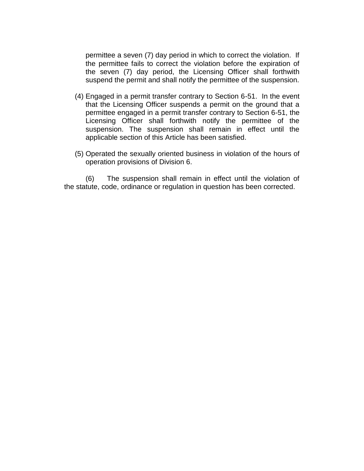permittee a seven (7) day period in which to correct the violation. If the permittee fails to correct the violation before the expiration of the seven (7) day period, the Licensing Officer shall forthwith suspend the permit and shall notify the permittee of the suspension.

- (4) Engaged in a permit transfer contrary to Section 6-51. In the event that the Licensing Officer suspends a permit on the ground that a permittee engaged in a permit transfer contrary to Section 6-51, the Licensing Officer shall forthwith notify the permittee of the suspension. The suspension shall remain in effect until the applicable section of this Article has been satisfied.
- (5) Operated the sexually oriented business in violation of the hours of operation provisions of Division 6.

(6) The suspension shall remain in effect until the violation of the statute, code, ordinance or regulation in question has been corrected.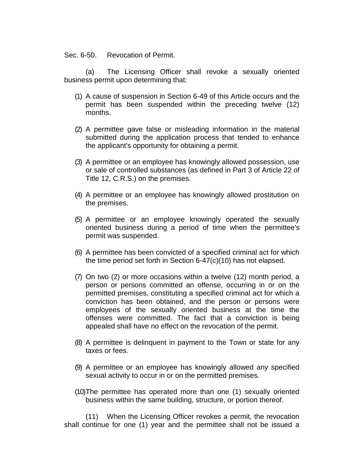Sec. 6-50. Revocation of Permit.

(a) The Licensing Officer shall revoke a sexually oriented business permit upon determining that:

- (1) A cause of suspension in Section 6-49 of this Article occurs and the permit has been suspended within the preceding twelve (12) months.
- (2) A permittee gave false or misleading information in the material submitted during the application process that tended to enhance the applicant's opportunity for obtaining a permit.
- (3) A permittee or an employee has knowingly allowed possession, use or sale of controlled substances (as defined in Part 3 of Article 22 of Title 12, C.R.S.) on the premises.
- (4) A permittee or an employee has knowingly allowed prostitution on the premises.
- (5) A permittee or an employee knowingly operated the sexually oriented business during a period of time when the permittee's permit was suspended.
- (6) A permittee has been convicted of a specified criminal act for which the time period set forth in Section 6-47(c)(10) has not elapsed.
- (7) On two (2) or more occasions within a twelve (12) month period, a person or persons committed an offense, occurring in or on the permitted premises, constituting a specified criminal act for which a conviction has been obtained, and the person or persons were employees of the sexually oriented business at the time the offenses were committed. The fact that a conviction is being appealed shall have no effect on the revocation of the permit.
- (8) A permittee is delinquent in payment to the Town or state for any taxes or fees.
- (9) A permittee or an employee has knowingly allowed any specified sexual activity to occur in or on the permitted premises.
- (10)The permittee has operated more than one (1) sexually oriented business within the same building, structure, or portion thereof.

(11) When the Licensing Officer revokes a permit, the revocation shall continue for one (1) year and the permittee shall not be issued a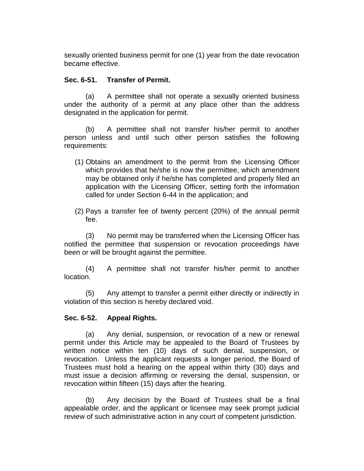sexually oriented business permit for one (1) year from the date revocation became effective.

## **Sec. 6-51. Transfer of Permit.**

(a) A permittee shall not operate a sexually oriented business under the authority of a permit at any place other than the address designated in the application for permit.

(b) A permittee shall not transfer his/her permit to another person unless and until such other person satisfies the following requirements:

- (1) Obtains an amendment to the permit from the Licensing Officer which provides that he/she is now the permittee, which amendment may be obtained only if he/she has completed and properly filed an application with the Licensing Officer, setting forth the information called for under Section 6-44 in the application; and
- (2) Pays a transfer fee of twenty percent (20%) of the annual permit fee.

(3) No permit may be transferred when the Licensing Officer has notified the permittee that suspension or revocation proceedings have been or will be brought against the permittee.

(4) A permittee shall not transfer his/her permit to another location.

(5) Any attempt to transfer a permit either directly or indirectly in violation of this section is hereby declared void.

# **Sec. 6-52. Appeal Rights.**

(a) Any denial, suspension, or revocation of a new or renewal permit under this Article may be appealed to the Board of Trustees by written notice within ten (10) days of such denial, suspension, or revocation. Unless the applicant requests a longer period, the Board of Trustees must hold a hearing on the appeal within thirty (30) days and must issue a decision affirming or reversing the denial, suspension, or revocation within fifteen (15) days after the hearing.

(b) Any decision by the Board of Trustees shall be a final appealable order, and the applicant or licensee may seek prompt judicial review of such administrative action in any court of competent jurisdiction.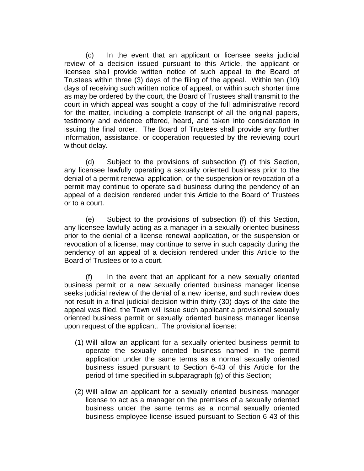(c) In the event that an applicant or licensee seeks judicial review of a decision issued pursuant to this Article, the applicant or licensee shall provide written notice of such appeal to the Board of Trustees within three (3) days of the filing of the appeal. Within ten (10) days of receiving such written notice of appeal, or within such shorter time as may be ordered by the court, the Board of Trustees shall transmit to the court in which appeal was sought a copy of the full administrative record for the matter, including a complete transcript of all the original papers, testimony and evidence offered, heard, and taken into consideration in issuing the final order. The Board of Trustees shall provide any further information, assistance, or cooperation requested by the reviewing court without delay.

(d) Subject to the provisions of subsection (f) of this Section, any licensee lawfully operating a sexually oriented business prior to the denial of a permit renewal application, or the suspension or revocation of a permit may continue to operate said business during the pendency of an appeal of a decision rendered under this Article to the Board of Trustees or to a court.

(e) Subject to the provisions of subsection (f) of this Section, any licensee lawfully acting as a manager in a sexually oriented business prior to the denial of a license renewal application, or the suspension or revocation of a license, may continue to serve in such capacity during the pendency of an appeal of a decision rendered under this Article to the Board of Trustees or to a court.

(f) In the event that an applicant for a new sexually oriented business permit or a new sexually oriented business manager license seeks judicial review of the denial of a new license, and such review does not result in a final judicial decision within thirty (30) days of the date the appeal was filed, the Town will issue such applicant a provisional sexually oriented business permit or sexually oriented business manager license upon request of the applicant. The provisional license:

- (1) Will allow an applicant for a sexually oriented business permit to operate the sexually oriented business named in the permit application under the same terms as a normal sexually oriented business issued pursuant to Section 6-43 of this Article for the period of time specified in subparagraph (g) of this Section;
- (2) Will allow an applicant for a sexually oriented business manager license to act as a manager on the premises of a sexually oriented business under the same terms as a normal sexually oriented business employee license issued pursuant to Section 6-43 of this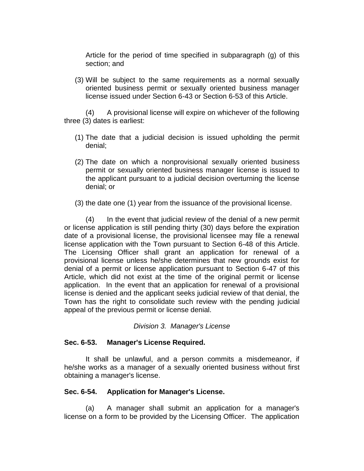Article for the period of time specified in subparagraph (g) of this section; and

(3) Will be subject to the same requirements as a normal sexually oriented business permit or sexually oriented business manager license issued under Section 6-43 or Section 6-53 of this Article.

(4) A provisional license will expire on whichever of the following three (3) dates is earliest:

- (1) The date that a judicial decision is issued upholding the permit denial;
- (2) The date on which a nonprovisional sexually oriented business permit or sexually oriented business manager license is issued to the applicant pursuant to a judicial decision overturning the license denial; or
- (3) the date one (1) year from the issuance of the provisional license.

(4) In the event that judicial review of the denial of a new permit or license application is still pending thirty (30) days before the expiration date of a provisional license, the provisional licensee may file a renewal license application with the Town pursuant to Section 6-48 of this Article. The Licensing Officer shall grant an application for renewal of a provisional license unless he/she determines that new grounds exist for denial of a permit or license application pursuant to Section 6-47 of this Article, which did not exist at the time of the original permit or license application. In the event that an application for renewal of a provisional license is denied and the applicant seeks judicial review of that denial, the Town has the right to consolidate such review with the pending judicial appeal of the previous permit or license denial.

## *Division 3. Manager's License*

## **Sec. 6-53. Manager's License Required.**

It shall be unlawful, and a person commits a misdemeanor, if he/she works as a manager of a sexually oriented business without first obtaining a manager's license.

## **Sec. 6-54. Application for Manager's License.**

(a) A manager shall submit an application for a manager's license on a form to be provided by the Licensing Officer. The application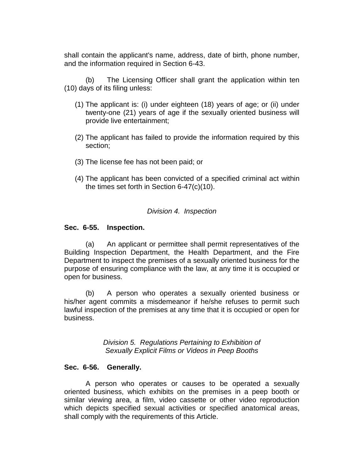shall contain the applicant's name, address, date of birth, phone number, and the information required in Section 6-43.

(b) The Licensing Officer shall grant the application within ten (10) days of its filing unless:

- (1) The applicant is: (i) under eighteen (18) years of age; or (ii) under twenty-one (21) years of age if the sexually oriented business will provide live entertainment;
- (2) The applicant has failed to provide the information required by this section;
- (3) The license fee has not been paid; or
- (4) The applicant has been convicted of a specified criminal act within the times set forth in Section 6-47(c)(10).

#### *Division 4. Inspection*

#### **Sec. 6-55. Inspection.**

(a) An applicant or permittee shall permit representatives of the Building Inspection Department, the Health Department, and the Fire Department to inspect the premises of a sexually oriented business for the purpose of ensuring compliance with the law, at any time it is occupied or open for business.

(b) A person who operates a sexually oriented business or his/her agent commits a misdemeanor if he/she refuses to permit such lawful inspection of the premises at any time that it is occupied or open for business.

> *Division 5. Regulations Pertaining to Exhibition of Sexually Explicit Films or Videos in Peep Booths*

#### **Sec. 6-56. Generally.**

A person who operates or causes to be operated a sexually oriented business, which exhibits on the premises in a peep booth or similar viewing area, a film, video cassette or other video reproduction which depicts specified sexual activities or specified anatomical areas, shall comply with the requirements of this Article.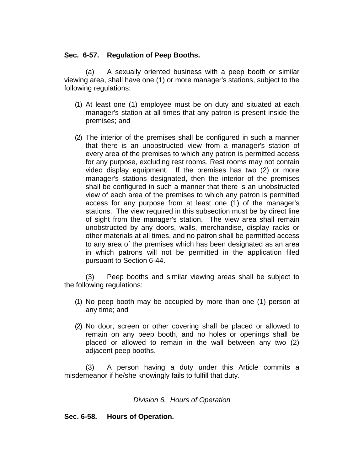## **Sec. 6-57. Regulation of Peep Booths.**

(a) A sexually oriented business with a peep booth or similar viewing area, shall have one (1) or more manager's stations, subject to the following regulations:

- (1) At least one (1) employee must be on duty and situated at each manager's station at all times that any patron is present inside the premises; and
- (2) The interior of the premises shall be configured in such a manner that there is an unobstructed view from a manager's station of every area of the premises to which any patron is permitted access for any purpose, excluding rest rooms. Rest rooms may not contain video display equipment. If the premises has two (2) or more manager's stations designated, then the interior of the premises shall be configured in such a manner that there is an unobstructed view of each area of the premises to which any patron is permitted access for any purpose from at least one (1) of the manager's stations. The view required in this subsection must be by direct line of sight from the manager's station. The view area shall remain unobstructed by any doors, walls, merchandise, display racks or other materials at all times, and no patron shall be permitted access to any area of the premises which has been designated as an area in which patrons will not be permitted in the application filed pursuant to Section 6-44.

(3) Peep booths and similar viewing areas shall be subject to the following regulations:

- (1) No peep booth may be occupied by more than one (1) person at any time; and
- (2) No door, screen or other covering shall be placed or allowed to remain on any peep booth, and no holes or openings shall be placed or allowed to remain in the wall between any two (2) adjacent peep booths.

(3) A person having a duty under this Article commits a misdemeanor if he/she knowingly fails to fulfill that duty.

#### *Division 6. Hours of Operation*

## **Sec. 6-58. Hours of Operation.**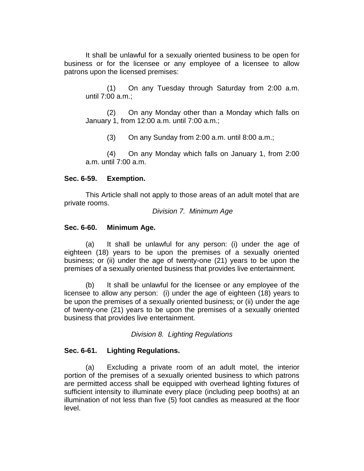It shall be unlawful for a sexually oriented business to be open for business or for the licensee or any employee of a licensee to allow patrons upon the licensed premises:

(1) On any Tuesday through Saturday from 2:00 a.m. until 7:00 a.m.;

(2) On any Monday other than a Monday which falls on January 1, from 12:00 a.m. until 7:00 a.m.;

(3) On any Sunday from 2:00 a.m. until 8:00 a.m.;

(4) On any Monday which falls on January 1, from 2:00 a.m. until 7:00 a.m.

#### **Sec. 6-59. Exemption.**

This Article shall not apply to those areas of an adult motel that are private rooms.

*Division 7. Minimum Age*

### **Sec. 6-60. Minimum Age.**

(a) It shall be unlawful for any person: (i) under the age of eighteen (18) years to be upon the premises of a sexually oriented business; or (ii) under the age of twenty-one (21) years to be upon the premises of a sexually oriented business that provides live entertainment.

(b) It shall be unlawful for the licensee or any employee of the licensee to allow any person: (i) under the age of eighteen (18) years to be upon the premises of a sexually oriented business; or (ii) under the age of twenty-one (21) years to be upon the premises of a sexually oriented business that provides live entertainment.

*Division 8. Lighting Regulations*

## **Sec. 6-61. Lighting Regulations.**

(a) Excluding a private room of an adult motel, the interior portion of the premises of a sexually oriented business to which patrons are permitted access shall be equipped with overhead lighting fixtures of sufficient intensity to illuminate every place (including peep booths) at an illumination of not less than five (5) foot candles as measured at the floor level.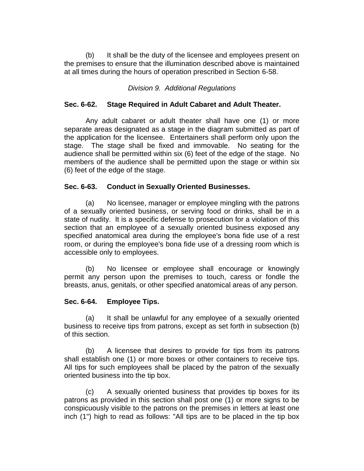(b) It shall be the duty of the licensee and employees present on the premises to ensure that the illumination described above is maintained at all times during the hours of operation prescribed in Section 6-58.

### *Division 9. Additional Regulations*

### **Sec. 6-62. Stage Required in Adult Cabaret and Adult Theater.**

Any adult cabaret or adult theater shall have one (1) or more separate areas designated as a stage in the diagram submitted as part of the application for the licensee. Entertainers shall perform only upon the stage. The stage shall be fixed and immovable. No seating for the audience shall be permitted within six (6) feet of the edge of the stage. No members of the audience shall be permitted upon the stage or within six (6) feet of the edge of the stage.

### **Sec. 6-63. Conduct in Sexually Oriented Businesses.**

(a) No licensee, manager or employee mingling with the patrons of a sexually oriented business, or serving food or drinks, shall be in a state of nudity. It is a specific defense to prosecution for a violation of this section that an employee of a sexually oriented business exposed any specified anatomical area during the employee's bona fide use of a rest room, or during the employee's bona fide use of a dressing room which is accessible only to employees.

(b) No licensee or employee shall encourage or knowingly permit any person upon the premises to touch, caress or fondle the breasts, anus, genitals, or other specified anatomical areas of any person.

#### **Sec. 6-64. Employee Tips.**

(a) It shall be unlawful for any employee of a sexually oriented business to receive tips from patrons, except as set forth in subsection (b) of this section.

(b) A licensee that desires to provide for tips from its patrons shall establish one (1) or more boxes or other containers to receive tips. All tips for such employees shall be placed by the patron of the sexually oriented business into the tip box.

(c) A sexually oriented business that provides tip boxes for its patrons as provided in this section shall post one (1) or more signs to be conspicuously visible to the patrons on the premises in letters at least one inch (1") high to read as follows: "All tips are to be placed in the tip box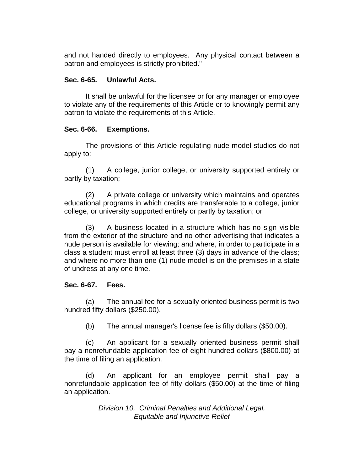and not handed directly to employees. Any physical contact between a patron and employees is strictly prohibited."

## **Sec. 6-65. Unlawful Acts.**

It shall be unlawful for the licensee or for any manager or employee to violate any of the requirements of this Article or to knowingly permit any patron to violate the requirements of this Article.

# **Sec. 6-66. Exemptions.**

The provisions of this Article regulating nude model studios do not apply to:

(1) A college, junior college, or university supported entirely or partly by taxation;

(2) A private college or university which maintains and operates educational programs in which credits are transferable to a college, junior college, or university supported entirely or partly by taxation; or

(3) A business located in a structure which has no sign visible from the exterior of the structure and no other advertising that indicates a nude person is available for viewing; and where, in order to participate in a class a student must enroll at least three (3) days in advance of the class; and where no more than one (1) nude model is on the premises in a state of undress at any one time.

# **Sec. 6-67. Fees.**

(a) The annual fee for a sexually oriented business permit is two hundred fifty dollars (\$250.00).

(b) The annual manager's license fee is fifty dollars (\$50.00).

(c) An applicant for a sexually oriented business permit shall pay a nonrefundable application fee of eight hundred dollars (\$800.00) at the time of filing an application.

(d) An applicant for an employee permit shall pay a nonrefundable application fee of fifty dollars (\$50.00) at the time of filing an application.

> *Division 10. Criminal Penalties and Additional Legal, Equitable and Injunctive Relief*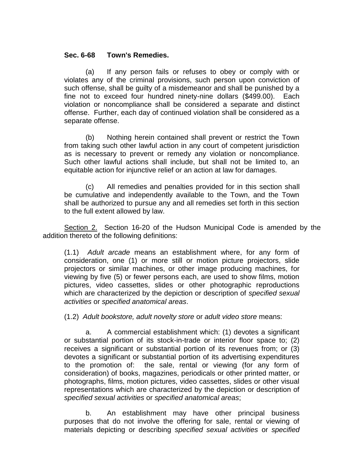### **Sec. 6-68 Town's Remedies.**

(a) If any person fails or refuses to obey or comply with or violates any of the criminal provisions, such person upon conviction of such offense, shall be guilty of a misdemeanor and shall be punished by a fine not to exceed four hundred ninety-nine dollars (\$499.00). Each violation or noncompliance shall be considered a separate and distinct offense. Further, each day of continued violation shall be considered as a separate offense.

(b) Nothing herein contained shall prevent or restrict the Town from taking such other lawful action in any court of competent jurisdiction as is necessary to prevent or remedy any violation or noncompliance. Such other lawful actions shall include, but shall not be limited to, an equitable action for injunctive relief or an action at law for damages.

(c) All remedies and penalties provided for in this section shall be cumulative and independently available to the Town, and the Town shall be authorized to pursue any and all remedies set forth in this section to the full extent allowed by law.

Section 2. Section 16-20 of the Hudson Municipal Code is amended by the addition thereto of the following definitions:

(1.1) *Adult arcade* means an establishment where, for any form of consideration, one (1) or more still or motion picture projectors, slide projectors or similar machines, or other image producing machines, for viewing by five (5) or fewer persons each, are used to show films, motion pictures, video cassettes, slides or other photographic reproductions which are characterized by the depiction or description of *specified sexual activities* or *specified anatomical areas*.

(1.2) *Adult bookstore, adult novelty store* or *adult video store* means:

a. A commercial establishment which: (1) devotes a significant or substantial portion of its stock-in-trade or interior floor space to; (2) receives a significant or substantial portion of its revenues from; or (3) devotes a significant or substantial portion of its advertising expenditures to the promotion of: the sale, rental or viewing (for any form of consideration) of books, magazines, periodicals or other printed matter, or photographs, films, motion pictures, video cassettes, slides or other visual representations which are characterized by the depiction or description of *specified sexual activities* or *specified anatomical areas*;

b. An establishment may have other principal business purposes that do not involve the offering for sale, rental or viewing of materials depicting or describing *specified sexual activities* or *specified*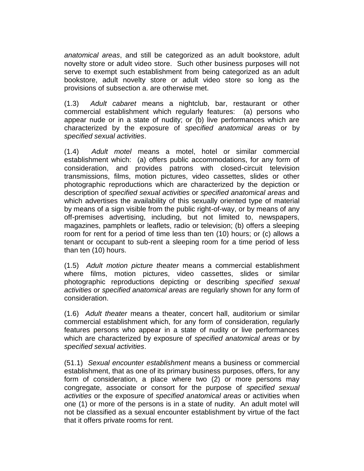*anatomical areas*, and still be categorized as an adult bookstore, adult novelty store or adult video store. Such other business purposes will not serve to exempt such establishment from being categorized as an adult bookstore, adult novelty store or adult video store so long as the provisions of subsection a. are otherwise met.

(1.3) *Adult cabaret* means a nightclub, bar, restaurant or other commercial establishment which regularly features: (a) persons who appear nude or in a state of nudity; or (b) live performances which are characterized by the exposure of *specified anatomical areas* or by *specified sexual activities*.

(1.4) *Adult motel* means a motel, hotel or similar commercial establishment which: (a) offers public accommodations, for any form of consideration, and provides patrons with closed-circuit television transmissions, films, motion pictures, video cassettes, slides or other photographic reproductions which are characterized by the depiction or description of *specified sexual activities* or *specified anatomical areas* and which advertises the availability of this sexually oriented type of material by means of a sign visible from the public right-of-way, or by means of any off-premises advertising, including, but not limited to, newspapers, magazines, pamphlets or leaflets, radio or television; (b) offers a sleeping room for rent for a period of time less than ten (10) hours; or (c) allows a tenant or occupant to sub-rent a sleeping room for a time period of less than ten (10) hours.

(1.5) *Adult motion picture theater* means a commercial establishment where films, motion pictures, video cassettes, slides or similar photographic reproductions depicting or describing *specified sexual activities* or *specified anatomical areas* are regularly shown for any form of consideration.

(1.6) *Adult theater* means a theater, concert hall, auditorium or similar commercial establishment which, for any form of consideration, regularly features persons who appear in a state of nudity or live performances which are characterized by exposure of *specified anatomical areas* or by *specified sexual activities*.

(51.1) *Sexual encounter establishment* means a business or commercial establishment, that as one of its primary business purposes, offers, for any form of consideration, a place where two (2) or more persons may congregate, associate or consort for the purpose of *specified sexual activities* or the exposure of *specified anatomical areas* or activities when one (1) or more of the persons is in a state of nudity. An adult motel will not be classified as a sexual encounter establishment by virtue of the fact that it offers private rooms for rent.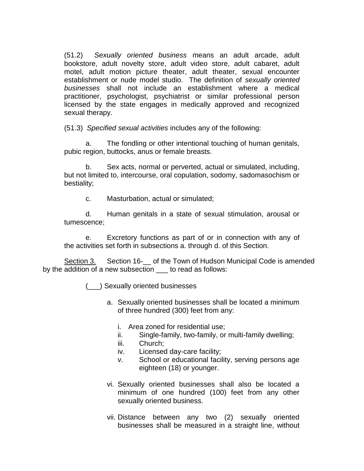(51.2) *Sexually oriented business* means an adult arcade, adult bookstore, adult novelty store, adult video store, adult cabaret, adult motel, adult motion picture theater, adult theater, sexual encounter establishment or nude model studio. The definition of *sexually oriented businesses* shall not include an establishment where a medical practitioner, psychologist, psychiatrist or similar professional person licensed by the state engages in medically approved and recognized sexual therapy.

(51.3) *Specified sexual activities* includes any of the following:

a. The fondling or other intentional touching of human genitals, pubic region, buttocks, anus or female breasts.

b. Sex acts, normal or perverted, actual or simulated, including, but not limited to, intercourse, oral copulation, sodomy, sadomasochism or bestiality;

c. Masturbation, actual or simulated;

d. Human genitals in a state of sexual stimulation, arousal or tumescence;

e. Excretory functions as part of or in connection with any of the activities set forth in subsections a. through d. of this Section.

Section 3. Section 16- of the Town of Hudson Municipal Code is amended by the addition of a new subsection \_\_\_ to read as follows:

(\_\_\_) Sexually oriented businesses

- a. Sexually oriented businesses shall be located a minimum of three hundred (300) feet from any:
	- i. Area zoned for residential use;
	- ii. Single-family, two-family, or multi-family dwelling;
	- iii. Church;
	- iv. Licensed day-care facility;
	- v. School or educational facility, serving persons age eighteen (18) or younger.
- vi. Sexually oriented businesses shall also be located a minimum of one hundred (100) feet from any other sexually oriented business.
- vii. Distance between any two (2) sexually oriented businesses shall be measured in a straight line, without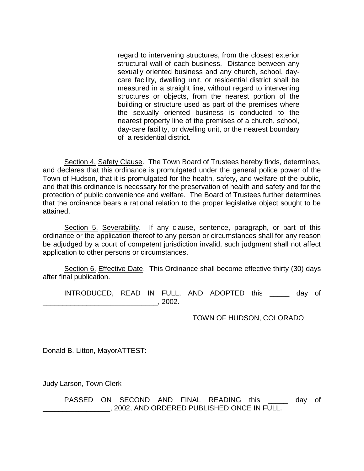regard to intervening structures, from the closest exterior structural wall of each business. Distance between any sexually oriented business and any church, school, daycare facility, dwelling unit, or residential district shall be measured in a straight line, without regard to intervening structures or objects, from the nearest portion of the building or structure used as part of the premises where the sexually oriented business is conducted to the nearest property line of the premises of a church, school, day-care facility, or dwelling unit, or the nearest boundary of a residential district.

Section 4. Safety Clause. The Town Board of Trustees hereby finds, determines, and declares that this ordinance is promulgated under the general police power of the Town of Hudson, that it is promulgated for the health, safety, and welfare of the public, and that this ordinance is necessary for the preservation of health and safety and for the protection of public convenience and welfare. The Board of Trustees further determines that the ordinance bears a rational relation to the proper legislative object sought to be attained.

Section 5. Severability. If any clause, sentence, paragraph, or part of this ordinance or the application thereof to any person or circumstances shall for any reason be adjudged by a court of competent jurisdiction invalid, such judgment shall not affect application to other persons or circumstances.

Section 6. Effective Date. This Ordinance shall become effective thirty (30) days after final publication.

INTRODUCED, READ IN FULL, AND ADOPTED this \_\_\_\_\_ day of  $\_\_$ , 2002.

TOWN OF HUDSON, COLORADO

\_\_\_\_\_\_\_\_\_\_\_\_\_\_\_\_\_\_\_\_\_\_\_\_\_\_\_\_\_

Donald B. Litton, MayorATTEST:

\_\_\_\_\_\_\_\_\_\_\_\_\_\_\_\_\_\_\_\_\_\_\_\_\_\_\_\_\_\_\_\_

Judy Larson, Town Clerk

PASSED ON SECOND AND FINAL READING this and day of \_\_\_\_\_\_\_\_\_\_\_\_\_\_\_\_\_, 2002, AND ORDERED PUBLISHED ONCE IN FULL.